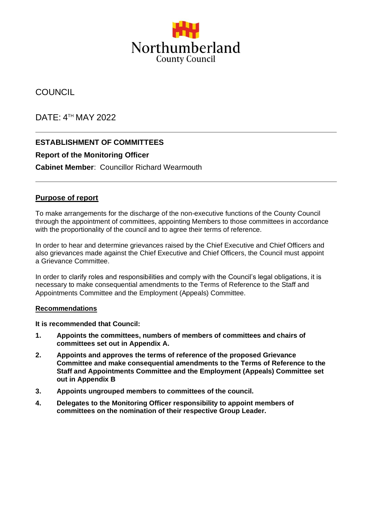

# **COUNCIL**

DATE: 4 TH MAY 2022

## **ESTABLISHMENT OF COMMITTEES**

### **Report of the Monitoring Officer**

**Cabinet Member**: Councillor Richard Wearmouth

### **Purpose of report**

To make arrangements for the discharge of the non-executive functions of the County Council through the appointment of committees, appointing Members to those committees in accordance with the proportionality of the council and to agree their terms of reference.

In order to hear and determine grievances raised by the Chief Executive and Chief Officers and also grievances made against the Chief Executive and Chief Officers, the Council must appoint a Grievance Committee.

In order to clarify roles and responsibilities and comply with the Council's legal obligations, it is necessary to make consequential amendments to the Terms of Reference to the Staff and Appointments Committee and the Employment (Appeals) Committee.

#### **Recommendations**

**It is recommended that Council:**

- **1. Appoints the committees, numbers of members of committees and chairs of committees set out in Appendix A.**
- **2. Appoints and approves the terms of reference of the proposed Grievance Committee and make consequential amendments to the Terms of Reference to the Staff and Appointments Committee and the Employment (Appeals) Committee set out in Appendix B**
- **3. Appoints ungrouped members to committees of the council.**
- **4. Delegates to the Monitoring Officer responsibility to appoint members of committees on the nomination of their respective Group Leader.**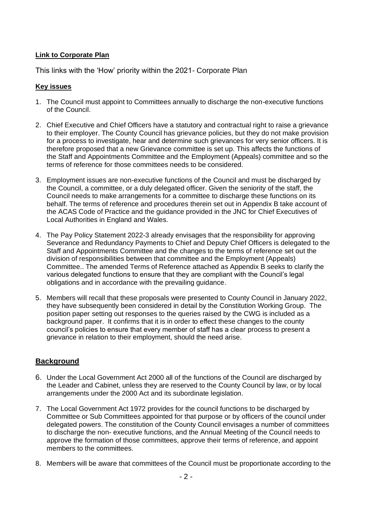#### **Link to Corporate Plan**

This links with the 'How' priority within the 2021- Corporate Plan

#### **Key issues**

- 1. The Council must appoint to Committees annually to discharge the non-executive functions of the Council.
- 2. Chief Executive and Chief Officers have a statutory and contractual right to raise a grievance to their employer. The County Council has grievance policies, but they do not make provision for a process to investigate, hear and determine such grievances for very senior officers. It is therefore proposed that a new Grievance committee is set up. This affects the functions of the Staff and Appointments Committee and the Employment (Appeals) committee and so the terms of reference for those committees needs to be considered.
- 3. Employment issues are non-executive functions of the Council and must be discharged by the Council, a committee, or a duly delegated officer. Given the seniority of the staff, the Council needs to make arrangements for a committee to discharge these functions on its behalf. The terms of reference and procedures therein set out in Appendix B take account of the ACAS Code of Practice and the guidance provided in the JNC for Chief Executives of Local Authorities in England and Wales.
- 4. The Pay Policy Statement 2022-3 already envisages that the responsibility for approving Severance and Redundancy Payments to Chief and Deputy Chief Officers is delegated to the Staff and Appointments Committee and the changes to the terms of reference set out the division of responsibilities between that committee and the Employment (Appeals) Committee.. The amended Terms of Reference attached as Appendix B seeks to clarify the various delegated functions to ensure that they are compliant with the Council's legal obligations and in accordance with the prevailing guidance.
- 5. Members will recall that these proposals were presented to County Council in January 2022, they have subsequently been considered in detail by the Constitution Working Group. The position paper setting out responses to the queries raised by the CWG is included as a background paper. It confirms that it is in order to effect these changes to the county council's policies to ensure that every member of staff has a clear process to present a grievance in relation to their employment, should the need arise.

#### **Background**

- 6. Under the Local Government Act 2000 all of the functions of the Council are discharged by the Leader and Cabinet, unless they are reserved to the County Council by law, or by local arrangements under the 2000 Act and its subordinate legislation.
- 7. The Local Government Act 1972 provides for the council functions to be discharged by Committee or Sub Committees appointed for that purpose or by officers of the council under delegated powers. The constitution of the County Council envisages a number of committees to discharge the non- executive functions, and the Annual Meeting of the Council needs to approve the formation of those committees, approve their terms of reference, and appoint members to the committees.
- 8. Members will be aware that committees of the Council must be proportionate according to the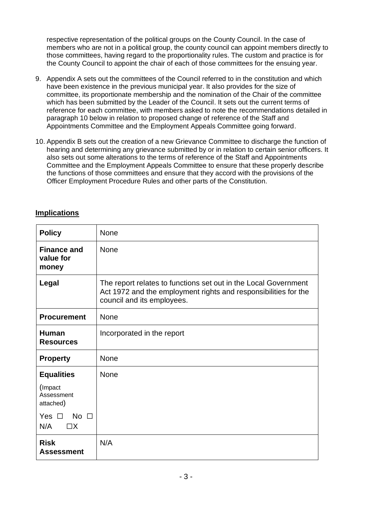respective representation of the political groups on the County Council. In the case of members who are not in a political group, the county council can appoint members directly to those committees, having regard to the proportionality rules. The custom and practice is for the County Council to appoint the chair of each of those committees for the ensuing year.

- 9. Appendix A sets out the committees of the Council referred to in the constitution and which have been existence in the previous municipal year. It also provides for the size of committee, its proportionate membership and the nomination of the Chair of the committee which has been submitted by the Leader of the Council. It sets out the current terms of reference for each committee, with members asked to note the recommendations detailed in paragraph 10 below in relation to proposed change of reference of the Staff and Appointments Committee and the Employment Appeals Committee going forward.
- 10. Appendix B sets out the creation of a new Grievance Committee to discharge the function of hearing and determining any grievance submitted by or in relation to certain senior officers. It also sets out some alterations to the terms of reference of the Staff and Appointments Committee and the Employment Appeals Committee to ensure that these properly describe the functions of those committees and ensure that they accord with the provisions of the Officer Employment Procedure Rules and other parts of the Constitution.

### **Implications**

| <b>Policy</b>                                | None                                                                                                                                                             |
|----------------------------------------------|------------------------------------------------------------------------------------------------------------------------------------------------------------------|
| <b>Finance and</b><br>value for<br>money     | <b>None</b>                                                                                                                                                      |
| Legal                                        | The report relates to functions set out in the Local Government<br>Act 1972 and the employment rights and responsibilities for the<br>council and its employees. |
| <b>Procurement</b>                           | <b>None</b>                                                                                                                                                      |
| <b>Human</b><br><b>Resources</b>             | Incorporated in the report                                                                                                                                       |
| <b>Property</b>                              | None                                                                                                                                                             |
| <b>Equalities</b>                            | None                                                                                                                                                             |
| (Impact<br>Assessment<br>attached)           |                                                                                                                                                                  |
| Yes $\Box$<br>$No \ \Box$<br>N/A<br>$\Box X$ |                                                                                                                                                                  |
| <b>Risk</b><br><b>Assessment</b>             | N/A                                                                                                                                                              |